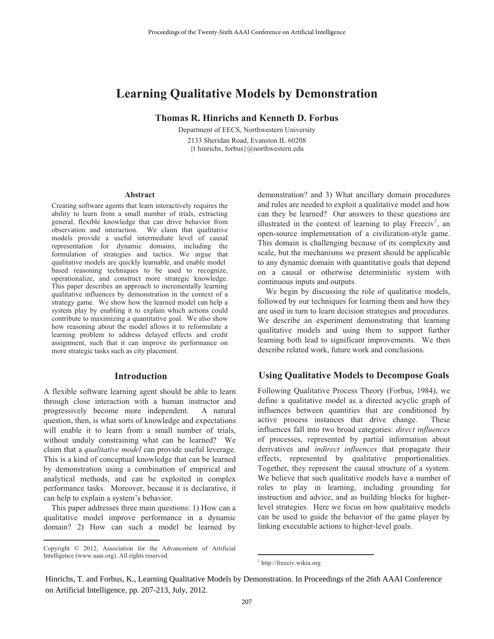# **Learning Qualitative Models by Demonstration**

**Thomas R. Hinrichs and Kenneth D. Forbus**

Department of EECS, Northwestern University 2133 Sheridan Road, Evanston IL 60208 {t hinrichs, forbus}@northwestern.edu

#### **Abstract**

Creating software agents that learn interactively requires the ability to learn from a small number of trials, extracting general, flexible knowledge that can drive behavior from observation and interaction. We claim that qualitative models provide a useful intermediate level of causal representation for dynamic domains, including the formulation of strategies and tactics. We argue that qualitative models are quickly learnable, and enable model based reasoning techniques to be used to recognize, operationalize, and construct more strategic knowledge. This paper describes an approach to incrementally learning qualitative influences by demonstration in the context of a strategy game. We show how the learned model can help a system play by enabling it to explain which actions could contribute to maximizing a quantitative goal. We also show how reasoning about the model allows it to reformulate a learning problem to address delayed effects and credit assignment, such that it can improve its performance on more strategic tasks such as city placement.

## **Introduction**

A flexible software learning agent should be able to learn through close interaction with a human instructor and progressively become more independent. A natural question, then, is what sorts of knowledge and expectations will enable it to learn from a small number of trials, without unduly constraining what can be learned? We claim that a *qualitative model* can provide useful leverage. This is a kind of conceptual knowledge that can be learned by demonstration using a combination of empirical and analytical methods, and can be exploited in complex performance tasks. Moreover, because it is declarative, it can help to explain a system's behavior.

This paper addresses three main questions: 1) How can a qualitative model improve performance in a dynamic domain? 2) How can such a model be learned by

 $\overline{a}$ 

demonstration? and 3) What ancillary domain procedures and rules are needed to exploit a qualitative model and how can they be learned? Our answers to these questions are illustrated in the context of learning to play  $Freeciv<sup>1</sup>$ , an open-source implementation of a civilization-style game. This domain is challenging because of its complexity and scale, but the mechanisms we present should be applicable to any dynamic domain with quantitative goals that depend on a causal or otherwise deterministic system with continuous inputs and outputs.

We begin by discussing the role of qualitative models, followed by our techniques for learning them and how they are used in turn to learn decision strategies and procedures. We describe an experiment demonstrating that learning qualitative models and using them to support further learning both lead to significant improvements. We then describe related work, future work and conclusions.

## **Using Qualitative Models to Decompose Goals**

Following Qualitative Process Theory (Forbus, 1984), we define a qualitative model as a directed acyclic graph of influences between quantities that are conditioned by active process instances that drive change. These influences fall into two broad categories: *direct influences* of processes, represented by partial information about derivatives and *indirect influences* that propagate their effects, represented by qualitative proportionalities. Together, they represent the causal structure of a system. We believe that such qualitative models have a number of roles to play in learning, including grounding for instruction and advice, and as building blocks for higherlevel strategies. Here we focus on how qualitative models can be used to guide the behavior of the game player by linking executable actions to higher-level goals. Proceedings of the Twenty-Sixth AAAI Conference on Artificial Intelligence<br> **Example 17 Proceedings** Constant Constant Constant D. Forbus<br>
Department of EECS, Northwestern University<br>
2133 Sheridan Road, Evantation 2 and

Hinrichs, T. and Forbus, K., Learning Qualitative Models by Demonstration. In Proceedings of the 26th AAAI Conference on Artificial Intelligence, pp. 207-213, July, 2012.

 $\overline{a}$ 

Copyright © 2012, Association for the Advancement of Artificial Intelligence (www.aaai.org). All rights reserved.

<sup>1</sup> http://freeciv.wikia.org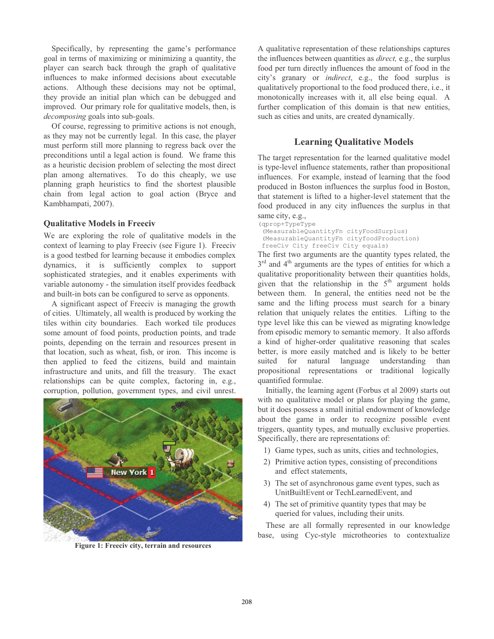Specifically, by representing the game's performance goal in terms of maximizing or minimizing a quantity, the player can search back through the graph of qualitative influences to make informed decisions about executable actions. Although these decisions may not be optimal, they provide an initial plan which can be debugged and improved. Our primary role for qualitative models, then, is *decomposing* goals into sub-goals.

Of course, regressing to primitive actions is not enough, as they may not be currently legal. In this case, the player must perform still more planning to regress back over the preconditions until a legal action is found. We frame this as a heuristic decision problem of selecting the most direct plan among alternatives. To do this cheaply, we use planning graph heuristics to find the shortest plausible chain from legal action to goal action (Bryce and Kambhampati, 2007).

#### **Qualitative Models in Freeciv**

We are exploring the role of qualitative models in the context of learning to play Freeciv (see Figure 1). Freeciv is a good testbed for learning because it embodies complex dynamics, it is sufficiently complex to support sophisticated strategies, and it enables experiments with variable autonomy - the simulation itself provides feedback and built-in bots can be configured to serve as opponents.

A significant aspect of Freeciv is managing the growth of cities. Ultimately, all wealth is produced by working the tiles within city boundaries. Each worked tile produces some amount of food points, production points, and trade points, depending on the terrain and resources present in that location, such as wheat, fish, or iron. This income is then applied to feed the citizens, build and maintain infrastructure and units, and fill the treasury. The exact relationships can be quite complex, factoring in, e.g., corruption, pollution, government types, and civil unrest.



**Figure 1: Freeciv city, terrain and resources** 

A qualitative representation of these relationships captures the influences between quantities as *direct,* e.g., the surplus food per turn directly influences the amount of food in the city's granary or *indirect*, e.g., the food surplus is qualitatively proportional to the food produced there, i.e., it monotonically increases with it, all else being equal. A further complication of this domain is that new entities, such as cities and units, are created dynamically.

# **Learning Qualitative Models**

The target representation for the learned qualitative model is type-level influence statements, rather than propositional influences. For example, instead of learning that the food produced in Boston influences the surplus food in Boston, that statement is lifted to a higher-level statement that the food produced in any city influences the surplus in that same city, e.g.,

(qprop+TypeType (MeasurableQuantityFn cityFoodSurplus) (MeasurableQuantityFn cityfoodProduction) freeCiv City freeCiv City equals)

The first two arguments are the quantity types related, the  $3<sup>rd</sup>$  and  $4<sup>th</sup>$  arguments are the types of entities for which a qualitative proporitionality between their quantities holds, given that the relationship in the  $5<sup>th</sup>$  argument holds between them. In general, the entities need not be the same and the lifting process must search for a binary relation that uniquely relates the entities. Lifting to the type level like this can be viewed as migrating knowledge from episodic memory to semantic memory. It also affords a kind of higher-order qualitative reasoning that scales better, is more easily matched and is likely to be better suited for natural language understanding than propositional representations or traditional logically quantified formulae.

Initially, the learning agent (Forbus et al 2009) starts out with no qualitative model or plans for playing the game, but it does possess a small initial endowment of knowledge about the game in order to recognize possible event triggers, quantity types, and mutually exclusive properties. Specifically, there are representations of:

- 1) Game types, such as units, cities and technologies,
- 2) Primitive action types, consisting of preconditions and effect statements,
- 3) The set of asynchronous game event types, such as UnitBuiltEvent or TechLearnedEvent, and
- 4) The set of primitive quantity types that may be queried for values, including their units.

These are all formally represented in our knowledge base, using Cyc-style microtheories to contextualize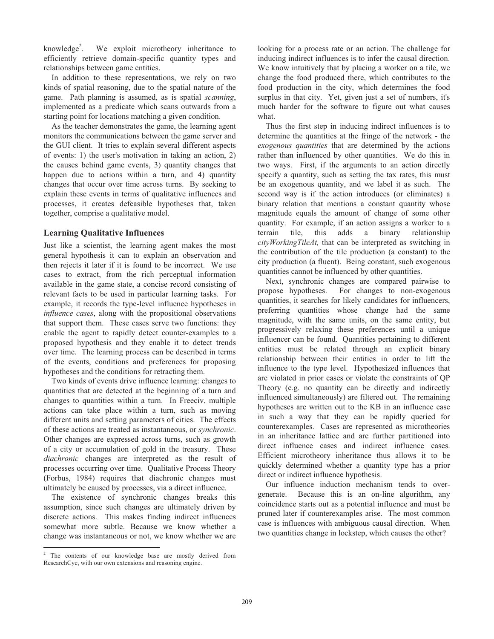knowledge<sup>2</sup>. . We exploit microtheory inheritance to efficiently retrieve domain-specific quantity types and relationships between game entities.

In addition to these representations, we rely on two kinds of spatial reasoning, due to the spatial nature of the game. Path planning is assumed, as is spatial *scanning*, implemented as a predicate which scans outwards from a starting point for locations matching a given condition.

As the teacher demonstrates the game, the learning agent monitors the communications between the game server and the GUI client. It tries to explain several different aspects of events: 1) the user's motivation in taking an action, 2) the causes behind game events, 3) quantity changes that happen due to actions within a turn, and 4) quantity changes that occur over time across turns. By seeking to explain these events in terms of qualitative influences and processes, it creates defeasible hypotheses that, taken together, comprise a qualitative model.

## **Learning Qualitative Influences**

Just like a scientist, the learning agent makes the most general hypothesis it can to explain an observation and then rejects it later if it is found to be incorrect. We use cases to extract, from the rich perceptual information available in the game state, a concise record consisting of relevant facts to be used in particular learning tasks. For example, it records the type-level influence hypotheses in *influence cases*, along with the propositional observations that support them. These cases serve two functions: they enable the agent to rapidly detect counter-examples to a proposed hypothesis and they enable it to detect trends over time. The learning process can be described in terms of the events, conditions and preferences for proposing hypotheses and the conditions for retracting them.

Two kinds of events drive influence learning: changes to quantities that are detected at the beginning of a turn and changes to quantities within a turn. In Freeciv, multiple actions can take place within a turn, such as moving different units and setting parameters of cities. The effects of these actions are treated as instantaneous, or *synchronic*. Other changes are expressed across turns, such as growth of a city or accumulation of gold in the treasury. These *diachronic* changes are interpreted as the result of processes occurring over time. Qualitative Process Theory (Forbus, 1984) requires that diachronic changes must ultimately be caused by processes, via a direct influence.

The existence of synchronic changes breaks this assumption, since such changes are ultimately driven by discrete actions. This makes finding indirect influences somewhat more subtle. Because we know whether a change was instantaneous or not, we know whether we are

looking for a process rate or an action. The challenge for inducing indirect influences is to infer the causal direction. We know intuitively that by placing a worker on a tile, we change the food produced there, which contributes to the food production in the city, which determines the food surplus in that city. Yet, given just a set of numbers, it's much harder for the software to figure out what causes what.

Thus the first step in inducing indirect influences is to determine the quantities at the fringe of the network - the *exogenous quantities* that are determined by the actions rather than influenced by other quantities. We do this in two ways. First, if the arguments to an action directly specify a quantity, such as setting the tax rates, this must be an exogenous quantity, and we label it as such. The second way is if the action introduces (or eliminates) a binary relation that mentions a constant quantity whose magnitude equals the amount of change of some other quantity. For example, if an action assigns a worker to a terrain tile, this adds a binary relationship *cityWorkingTileAt,* that can be interpreted as switching in the contribution of the tile production (a constant) to the city production (a fluent). Being constant, such exogenous quantities cannot be influenced by other quantities.

Next, synchronic changes are compared pairwise to propose hypotheses. For changes to non-exogenous quantities, it searches for likely candidates for influencers, preferring quantities whose change had the same magnitude, with the same units, on the same entity, but progressively relaxing these preferences until a unique influencer can be found. Quantities pertaining to different entities must be related through an explicit binary relationship between their entities in order to lift the influence to the type level. Hypothesized influences that are violated in prior cases or violate the constraints of QP Theory (e.g. no quantity can be directly and indirectly influenced simultaneously) are filtered out. The remaining hypotheses are written out to the KB in an influence case in such a way that they can be rapidly queried for counterexamples. Cases are represented as microtheories in an inheritance lattice and are further partitioned into direct influence cases and indirect influence cases. Efficient microtheory inheritance thus allows it to be quickly determined whether a quantity type has a prior direct or indirect influence hypothesis.

Our influence induction mechanism tends to overgenerate. Because this is an on-line algorithm, any coincidence starts out as a potential influence and must be pruned later if counterexamples arise. The most common case is influences with ambiguous causal direction. When two quantities change in lockstep, which causes the other?

<sup>&</sup>lt;sup>2</sup> The contents of our knowledge base are mostly derived from ResearchCyc, with our own extensions and reasoning engine.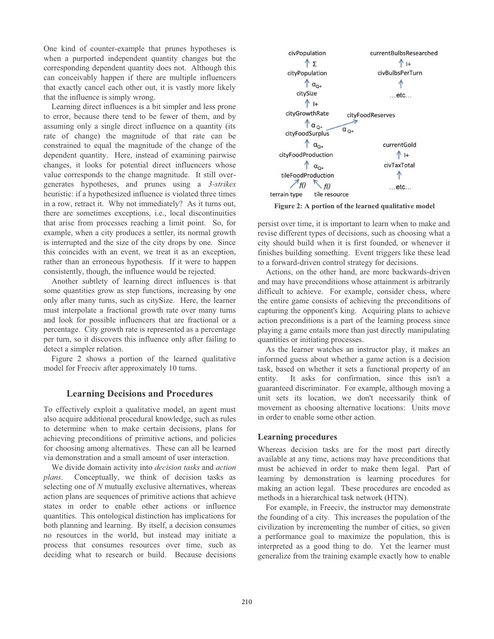One kind of counter-example that prunes hypotheses is when a purported independent quantity changes but the corresponding dependent quantity does not. Although this can conceivably happen if there are multiple influencers that exactly cancel each other out, it is vastly more likely that the influence is simply wrong.

Learning direct influences is a bit simpler and less prone to error, because there tend to be fewer of them, and by assuming only a single direct influence on a quantity (its rate of change) the magnitude of that rate can be constrained to equal the magnitude of the change of the dependent quantity. Here, instead of examining pairwise changes, it looks for potential direct influencers whose value corresponds to the change magnitude. It still overgenerates hypotheses, and prunes using a *3-strikes* heuristic: if a hypothesized influence is violated three times in a row, retract it. Why not immediately? As it turns out, there are sometimes exceptions, i.e., local discontinuities that arise from processes reaching a limit point. So, for example, when a city produces a settler, its normal growth is interrupted and the size of the city drops by one. Since this coincides with an event, we treat it as an exception, rather than an erroneous hypothesis. If it were to happen consistently, though, the influence would be rejected.

Another subtlety of learning direct influences is that some quantities grow as step functions, increasing by one only after many turns, such as citySize. Here, the learner must interpolate a fractional growth rate over many turns and look for possible influencers that are fractional or a percentage. City growth rate is represented as a percentage per turn, so it discovers this influence only after failing to detect a simpler relation.

Figure 2 shows a portion of the learned qualitative model for Freeciv after approximately 10 turns.

#### **Learning Decisions and Procedures**

To effectively exploit a qualitative model, an agent must also acquire additional procedural knowledge, such as rules to determine when to make certain decisions, plans for achieving preconditions of primitive actions, and policies for choosing among alternatives. These can all be learned via demonstration and a small amount of user interaction.

We divide domain activity into *decision tasks* and *action plans*. Conceptually, we think of decision tasks as selecting one of *N* mutually exclusive alternatives, whereas action plans are sequences of primitive actions that achieve states in order to enable other actions or influence quantities. This ontological distinction has implications for both planning and learning. By itself, a decision consumes no resources in the world, but instead may initiate a process that consumes resources over time, such as deciding what to research or build. Because decisions



**Figure 2: A portion of the learned qualitative model** 

persist over time, it is important to learn when to make and revise different types of decisions, such as choosing what a city should build when it is first founded, or whenever it finishes building something. Event triggers like these lead to a forward-driven control strategy for decisions.

Actions, on the other hand, are more backwards-driven and may have preconditions whose attainment is arbitrarily difficult to achieve. For example, consider chess, where the entire game consists of achieving the preconditions of capturing the opponent's king. Acquiring plans to achieve action preconditions is a part of the learning process since playing a game entails more than just directly manipulating quantities or initiating processes.

As the learner watches an instructor play, it makes an informed guess about whether a game action is a decision task, based on whether it sets a functional property of an entity. It asks for confirmation, since this isn't a guaranteed discriminator. For example, although moving a unit sets its location, we don't necessarily think of movement as choosing alternative locations: Units move in order to enable some other action.

#### **Learning procedures**

Whereas decision tasks are for the most part directly available at any time, actions may have preconditions that must be achieved in order to make them legal. Part of learning by demonstration is learning procedures for making an action legal. These procedures are encoded as methods in a hierarchical task network (HTN).

For example, in Freeciv, the instructor may demonstrate the founding of a city. This increases the population of the civilization by incrementing the number of cities, so given a performance goal to maximize the population, this is interpreted as a good thing to do. Yet the learner must generalize from the training example exactly how to enable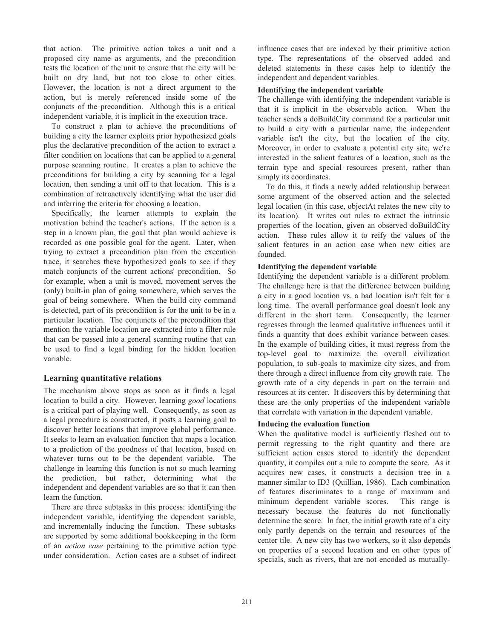that action. The primitive action takes a unit and a proposed city name as arguments, and the precondition tests the location of the unit to ensure that the city will be built on dry land, but not too close to other cities. However, the location is not a direct argument to the action, but is merely referenced inside some of the conjuncts of the precondition. Although this is a critical independent variable, it is implicit in the execution trace.

To construct a plan to achieve the preconditions of building a city the learner exploits prior hypothesized goals plus the declarative precondition of the action to extract a filter condition on locations that can be applied to a general purpose scanning routine. It creates a plan to achieve the preconditions for building a city by scanning for a legal location, then sending a unit off to that location. This is a combination of retroactively identifying what the user did and inferring the criteria for choosing a location.

Specifically, the learner attempts to explain the motivation behind the teacher's actions. If the action is a step in a known plan, the goal that plan would achieve is recorded as one possible goal for the agent. Later, when trying to extract a precondition plan from the execution trace, it searches these hypothesized goals to see if they match conjuncts of the current actions' precondition. So for example, when a unit is moved, movement serves the (only) built-in plan of going somewhere, which serves the goal of being somewhere. When the build city command is detected, part of its precondition is for the unit to be in a particular location. The conjuncts of the precondition that mention the variable location are extracted into a filter rule that can be passed into a general scanning routine that can be used to find a legal binding for the hidden location variable.

## **Learning quantitative relations**

The mechanism above stops as soon as it finds a legal location to build a city. However, learning *good* locations is a critical part of playing well. Consequently, as soon as a legal procedure is constructed, it posts a learning goal to discover better locations that improve global performance. It seeks to learn an evaluation function that maps a location to a prediction of the goodness of that location, based on whatever turns out to be the dependent variable. The challenge in learning this function is not so much learning the prediction, but rather, determining what the independent and dependent variables are so that it can then learn the function.

There are three subtasks in this process: identifying the independent variable, identifying the dependent variable, and incrementally inducing the function. These subtasks are supported by some additional bookkeeping in the form of an *action case* pertaining to the primitive action type under consideration. Action cases are a subset of indirect

influence cases that are indexed by their primitive action type. The representations of the observed added and deleted statements in these cases help to identify the independent and dependent variables.

#### **Identifying the independent variable**

The challenge with identifying the independent variable is that it is implicit in the observable action. When the teacher sends a doBuildCity command for a particular unit to build a city with a particular name, the independent variable isn't the city, but the location of the city. Moreover, in order to evaluate a potential city site, we're interested in the salient features of a location, such as the terrain type and special resources present, rather than simply its coordinates.

To do this, it finds a newly added relationship between some argument of the observed action and the selected legal location (in this case, objectAt relates the new city to its location). It writes out rules to extract the intrinsic properties of the location, given an observed doBuildCity action. These rules allow it to reify the values of the salient features in an action case when new cities are founded.

### **Identifying the dependent variable**

Identifying the dependent variable is a different problem. The challenge here is that the difference between building a city in a good location vs. a bad location isn't felt for a long time. The overall performance goal doesn't look any different in the short term. Consequently, the learner regresses through the learned qualitative influences until it finds a quantity that does exhibit variance between cases. In the example of building cities, it must regress from the top-level goal to maximize the overall civilization population, to sub-goals to maximize city sizes, and from there through a direct influence from city growth rate. The growth rate of a city depends in part on the terrain and resources at its center. It discovers this by determining that these are the only properties of the independent variable that correlate with variation in the dependent variable.

#### **Inducing the evaluation function**

When the qualitative model is sufficiently fleshed out to permit regressing to the right quantity and there are sufficient action cases stored to identify the dependent quantity, it compiles out a rule to compute the score. As it acquires new cases, it constructs a decision tree in a manner similar to ID3 (Quillian, 1986). Each combination of features discriminates to a range of maximum and minimum dependent variable scores. This range is necessary because the features do not functionally determine the score. In fact, the initial growth rate of a city only partly depends on the terrain and resources of the center tile. A new city has two workers, so it also depends on properties of a second location and on other types of specials, such as rivers, that are not encoded as mutually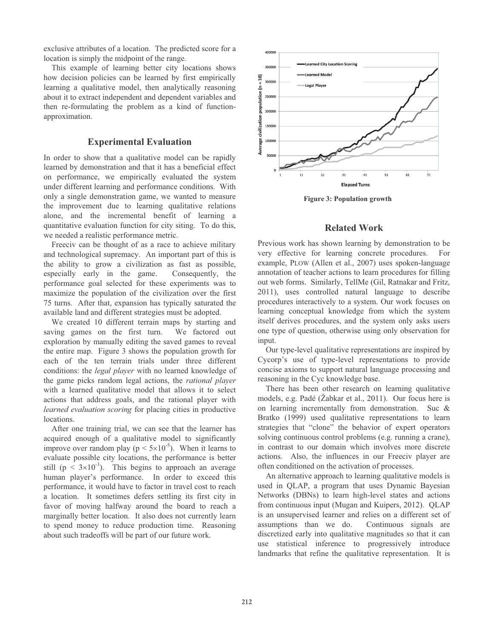exclusive attributes of a location. The predicted score for a location is simply the midpoint of the range.

This example of learning better city locations shows how decision policies can be learned by first empirically learning a qualitative model, then analytically reasoning about it to extract independent and dependent variables and then re-formulating the problem as a kind of functionapproximation.

## **Experimental Evaluation**

In order to show that a qualitative model can be rapidly learned by demonstration and that it has a beneficial effect on performance, we empirically evaluated the system under different learning and performance conditions. With only a single demonstration game, we wanted to measure the improvement due to learning qualitative relations alone, and the incremental benefit of learning a quantitative evaluation function for city siting. To do this, we needed a realistic performance metric.

Freeciv can be thought of as a race to achieve military and technological supremacy. An important part of this is the ability to grow a civilization as fast as possible, especially early in the game. Consequently, the performance goal selected for these experiments was to maximize the population of the civilization over the first 75 turns. After that, expansion has typically saturated the available land and different strategies must be adopted.

We created 10 different terrain maps by starting and saving games on the first turn. We factored out exploration by manually editing the saved games to reveal the entire map. Figure 3 shows the population growth for each of the ten terrain trials under three different conditions: the *legal player* with no learned knowledge of the game picks random legal actions, the *rational player*  with a learned qualitative model that allows it to select actions that address goals, and the rational player with *learned evaluation scoring* for placing cities in productive locations.

After one training trial, we can see that the learner has acquired enough of a qualitative model to significantly improve over random play ( $p < 5 \times 10^{-5}$ ). When it learns to evaluate possible city locations, the performance is better still ( $p < 3 \times 10^{-3}$ ). This begins to approach an average human player's performance. In order to exceed this performance, it would have to factor in travel cost to reach a location. It sometimes defers settling its first city in favor of moving halfway around the board to reach a marginally better location. It also does not currently learn to spend money to reduce production time. Reasoning about such tradeoffs will be part of our future work.



**Figure 3: Population growth** 

## **Related Work**

Previous work has shown learning by demonstration to be very effective for learning concrete procedures. For example, PLOW (Allen et al., 2007) uses spoken-language annotation of teacher actions to learn procedures for filling out web forms. Similarly, TellMe (Gil, Ratnakar and Fritz, 2011), uses controlled natural language to describe procedures interactively to a system. Our work focuses on learning conceptual knowledge from which the system itself derives procedures, and the system only asks users one type of question, otherwise using only observation for input.

Our type-level qualitative representations are inspired by Cycorp's use of type-level representations to provide concise axioms to support natural language processing and reasoning in the Cyc knowledge base.

There has been other research on learning qualitative models, e.g. Padé (Žabkar et al., 2011). Our focus here is on learning incrementally from demonstration. Suc & Bratko (1999) used qualitative representations to learn strategies that "clone" the behavior of expert operators solving continuous control problems (e.g. running a crane), in contrast to our domain which involves more discrete actions. Also, the influences in our Freeciv player are often conditioned on the activation of processes.

An alternative approach to learning qualitative models is used in QLAP, a program that uses Dynamic Bayesian Networks (DBNs) to learn high-level states and actions from continuous input (Mugan and Kuipers, 2012). QLAP is an unsupervised learner and relies on a different set of assumptions than we do. Continuous signals are discretized early into qualitative magnitudes so that it can use statistical inference to progressively introduce landmarks that refine the qualitative representation. It is